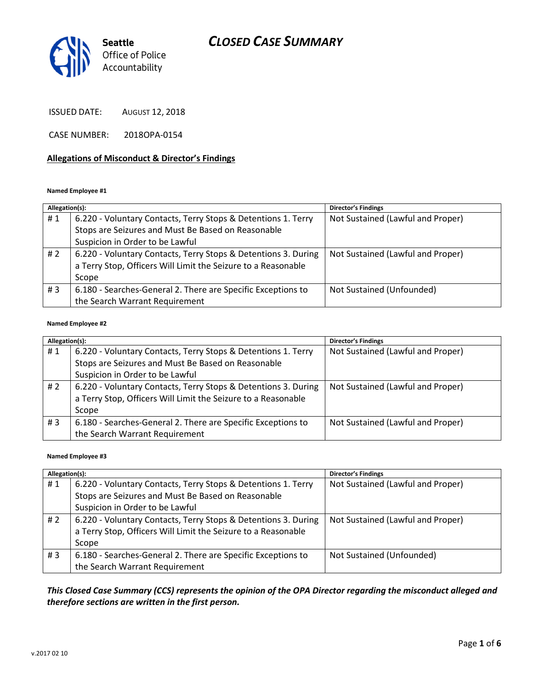

ISSUED DATE: AUGUST 12, 2018

CASE NUMBER: 2018OPA-0154

### Allegations of Misconduct & Director's Findings

#### Named Employee #1

| Allegation(s): |                                                                | <b>Director's Findings</b>        |
|----------------|----------------------------------------------------------------|-----------------------------------|
| #1             | 6.220 - Voluntary Contacts, Terry Stops & Detentions 1. Terry  | Not Sustained (Lawful and Proper) |
|                | Stops are Seizures and Must Be Based on Reasonable             |                                   |
|                | Suspicion in Order to be Lawful                                |                                   |
| # 2            | 6.220 - Voluntary Contacts, Terry Stops & Detentions 3. During | Not Sustained (Lawful and Proper) |
|                | a Terry Stop, Officers Will Limit the Seizure to a Reasonable  |                                   |
|                | Scope                                                          |                                   |
| # $3$          | 6.180 - Searches-General 2. There are Specific Exceptions to   | Not Sustained (Unfounded)         |
|                | the Search Warrant Requirement                                 |                                   |

#### Named Employee #2

| Allegation(s): |                                                                | <b>Director's Findings</b>        |
|----------------|----------------------------------------------------------------|-----------------------------------|
| #1             | 6.220 - Voluntary Contacts, Terry Stops & Detentions 1. Terry  | Not Sustained (Lawful and Proper) |
|                | Stops are Seizures and Must Be Based on Reasonable             |                                   |
|                | Suspicion in Order to be Lawful                                |                                   |
| #2             | 6.220 - Voluntary Contacts, Terry Stops & Detentions 3. During | Not Sustained (Lawful and Proper) |
|                | a Terry Stop, Officers Will Limit the Seizure to a Reasonable  |                                   |
|                | Scope                                                          |                                   |
| #3             | 6.180 - Searches-General 2. There are Specific Exceptions to   | Not Sustained (Lawful and Proper) |
|                | the Search Warrant Requirement                                 |                                   |

#### Named Employee #3

| Allegation(s): |                                                                | <b>Director's Findings</b>        |
|----------------|----------------------------------------------------------------|-----------------------------------|
| #1             | 6.220 - Voluntary Contacts, Terry Stops & Detentions 1. Terry  | Not Sustained (Lawful and Proper) |
|                | Stops are Seizures and Must Be Based on Reasonable             |                                   |
|                | Suspicion in Order to be Lawful                                |                                   |
| #2             | 6.220 - Voluntary Contacts, Terry Stops & Detentions 3. During | Not Sustained (Lawful and Proper) |
|                | a Terry Stop, Officers Will Limit the Seizure to a Reasonable  |                                   |
|                | Scope                                                          |                                   |
| #3             | 6.180 - Searches-General 2. There are Specific Exceptions to   | Not Sustained (Unfounded)         |
|                | the Search Warrant Requirement                                 |                                   |

## This Closed Case Summary (CCS) represents the opinion of the OPA Director regarding the misconduct alleged and therefore sections are written in the first person.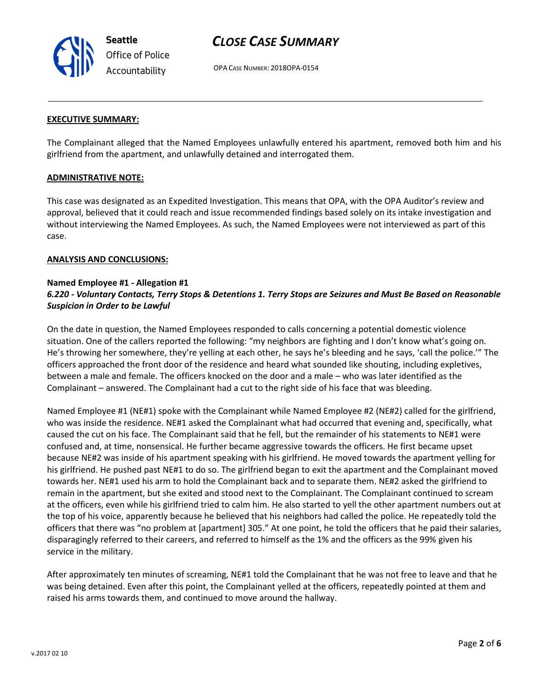

OPA CASE NUMBER: 2018OPA-0154

### EXECUTIVE SUMMARY:

The Complainant alleged that the Named Employees unlawfully entered his apartment, removed both him and his girlfriend from the apartment, and unlawfully detained and interrogated them.

### ADMINISTRATIVE NOTE:

This case was designated as an Expedited Investigation. This means that OPA, with the OPA Auditor's review and approval, believed that it could reach and issue recommended findings based solely on its intake investigation and without interviewing the Named Employees. As such, the Named Employees were not interviewed as part of this case.

#### ANALYSIS AND CONCLUSIONS:

## Named Employee #1 - Allegation #1 6.220 - Voluntary Contacts, Terry Stops & Detentions 1. Terry Stops are Seizures and Must Be Based on Reasonable Suspicion in Order to be Lawful

On the date in question, the Named Employees responded to calls concerning a potential domestic violence situation. One of the callers reported the following: "my neighbors are fighting and I don't know what's going on. He's throwing her somewhere, they're yelling at each other, he says he's bleeding and he says, 'call the police.'" The officers approached the front door of the residence and heard what sounded like shouting, including expletives, between a male and female. The officers knocked on the door and a male – who was later identified as the Complainant – answered. The Complainant had a cut to the right side of his face that was bleeding.

Named Employee #1 (NE#1) spoke with the Complainant while Named Employee #2 (NE#2) called for the girlfriend, who was inside the residence. NE#1 asked the Complainant what had occurred that evening and, specifically, what caused the cut on his face. The Complainant said that he fell, but the remainder of his statements to NE#1 were confused and, at time, nonsensical. He further became aggressive towards the officers. He first became upset because NE#2 was inside of his apartment speaking with his girlfriend. He moved towards the apartment yelling for his girlfriend. He pushed past NE#1 to do so. The girlfriend began to exit the apartment and the Complainant moved towards her. NE#1 used his arm to hold the Complainant back and to separate them. NE#2 asked the girlfriend to remain in the apartment, but she exited and stood next to the Complainant. The Complainant continued to scream at the officers, even while his girlfriend tried to calm him. He also started to yell the other apartment numbers out at the top of his voice, apparently because he believed that his neighbors had called the police. He repeatedly told the officers that there was "no problem at [apartment] 305." At one point, he told the officers that he paid their salaries, disparagingly referred to their careers, and referred to himself as the 1% and the officers as the 99% given his service in the military.

After approximately ten minutes of screaming, NE#1 told the Complainant that he was not free to leave and that he was being detained. Even after this point, the Complainant yelled at the officers, repeatedly pointed at them and raised his arms towards them, and continued to move around the hallway.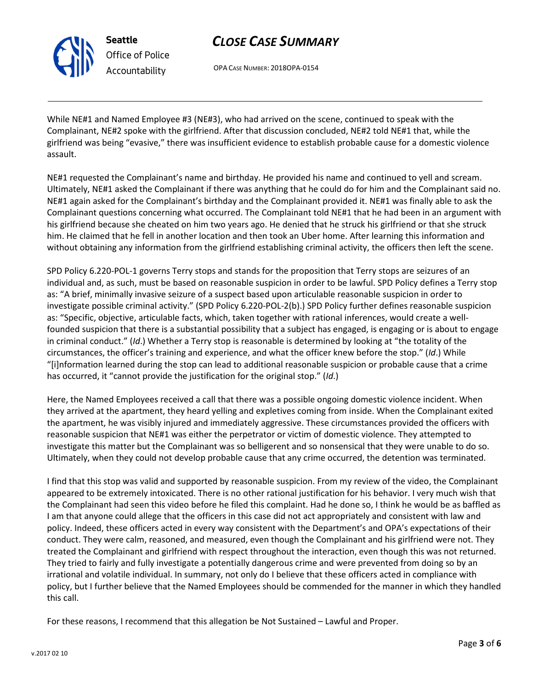

Seattle Office of Police Accountability

# CLOSE CASE SUMMARY

OPA CASE NUMBER: 2018OPA-0154

While NE#1 and Named Employee #3 (NE#3), who had arrived on the scene, continued to speak with the Complainant, NE#2 spoke with the girlfriend. After that discussion concluded, NE#2 told NE#1 that, while the girlfriend was being "evasive," there was insufficient evidence to establish probable cause for a domestic violence assault.

NE#1 requested the Complainant's name and birthday. He provided his name and continued to yell and scream. Ultimately, NE#1 asked the Complainant if there was anything that he could do for him and the Complainant said no. NE#1 again asked for the Complainant's birthday and the Complainant provided it. NE#1 was finally able to ask the Complainant questions concerning what occurred. The Complainant told NE#1 that he had been in an argument with his girlfriend because she cheated on him two years ago. He denied that he struck his girlfriend or that she struck him. He claimed that he fell in another location and then took an Uber home. After learning this information and without obtaining any information from the girlfriend establishing criminal activity, the officers then left the scene.

SPD Policy 6.220-POL-1 governs Terry stops and stands for the proposition that Terry stops are seizures of an individual and, as such, must be based on reasonable suspicion in order to be lawful. SPD Policy defines a Terry stop as: "A brief, minimally invasive seizure of a suspect based upon articulable reasonable suspicion in order to investigate possible criminal activity." (SPD Policy 6.220-POL-2(b).) SPD Policy further defines reasonable suspicion as: "Specific, objective, articulable facts, which, taken together with rational inferences, would create a wellfounded suspicion that there is a substantial possibility that a subject has engaged, is engaging or is about to engage in criminal conduct." (Id.) Whether a Terry stop is reasonable is determined by looking at "the totality of the circumstances, the officer's training and experience, and what the officer knew before the stop." (Id.) While "[i]nformation learned during the stop can lead to additional reasonable suspicion or probable cause that a crime has occurred, it "cannot provide the justification for the original stop." (Id.)

Here, the Named Employees received a call that there was a possible ongoing domestic violence incident. When they arrived at the apartment, they heard yelling and expletives coming from inside. When the Complainant exited the apartment, he was visibly injured and immediately aggressive. These circumstances provided the officers with reasonable suspicion that NE#1 was either the perpetrator or victim of domestic violence. They attempted to investigate this matter but the Complainant was so belligerent and so nonsensical that they were unable to do so. Ultimately, when they could not develop probable cause that any crime occurred, the detention was terminated.

I find that this stop was valid and supported by reasonable suspicion. From my review of the video, the Complainant appeared to be extremely intoxicated. There is no other rational justification for his behavior. I very much wish that the Complainant had seen this video before he filed this complaint. Had he done so, I think he would be as baffled as I am that anyone could allege that the officers in this case did not act appropriately and consistent with law and policy. Indeed, these officers acted in every way consistent with the Department's and OPA's expectations of their conduct. They were calm, reasoned, and measured, even though the Complainant and his girlfriend were not. They treated the Complainant and girlfriend with respect throughout the interaction, even though this was not returned. They tried to fairly and fully investigate a potentially dangerous crime and were prevented from doing so by an irrational and volatile individual. In summary, not only do I believe that these officers acted in compliance with policy, but I further believe that the Named Employees should be commended for the manner in which they handled this call.

For these reasons, I recommend that this allegation be Not Sustained – Lawful and Proper.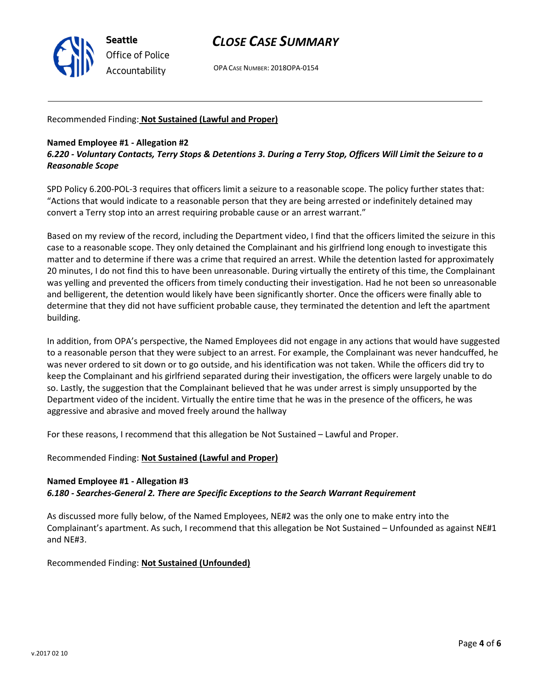

OPA CASE NUMBER: 2018OPA-0154

### Recommended Finding: Not Sustained (Lawful and Proper)

### Named Employee #1 - Allegation #2

## 6.220 - Voluntary Contacts, Terry Stops & Detentions 3. During a Terry Stop, Officers Will Limit the Seizure to a Reasonable Scope

SPD Policy 6.200-POL-3 requires that officers limit a seizure to a reasonable scope. The policy further states that: "Actions that would indicate to a reasonable person that they are being arrested or indefinitely detained may convert a Terry stop into an arrest requiring probable cause or an arrest warrant."

Based on my review of the record, including the Department video, I find that the officers limited the seizure in this case to a reasonable scope. They only detained the Complainant and his girlfriend long enough to investigate this matter and to determine if there was a crime that required an arrest. While the detention lasted for approximately 20 minutes, I do not find this to have been unreasonable. During virtually the entirety of this time, the Complainant was yelling and prevented the officers from timely conducting their investigation. Had he not been so unreasonable and belligerent, the detention would likely have been significantly shorter. Once the officers were finally able to determine that they did not have sufficient probable cause, they terminated the detention and left the apartment building.

In addition, from OPA's perspective, the Named Employees did not engage in any actions that would have suggested to a reasonable person that they were subject to an arrest. For example, the Complainant was never handcuffed, he was never ordered to sit down or to go outside, and his identification was not taken. While the officers did try to keep the Complainant and his girlfriend separated during their investigation, the officers were largely unable to do so. Lastly, the suggestion that the Complainant believed that he was under arrest is simply unsupported by the Department video of the incident. Virtually the entire time that he was in the presence of the officers, he was aggressive and abrasive and moved freely around the hallway

For these reasons, I recommend that this allegation be Not Sustained – Lawful and Proper.

### Recommended Finding: Not Sustained (Lawful and Proper)

#### Named Employee #1 - Allegation #3

6.180 - Searches-General 2. There are Specific Exceptions to the Search Warrant Requirement

As discussed more fully below, of the Named Employees, NE#2 was the only one to make entry into the Complainant's apartment. As such, I recommend that this allegation be Not Sustained – Unfounded as against NE#1 and NE#3.

Recommended Finding: Not Sustained (Unfounded)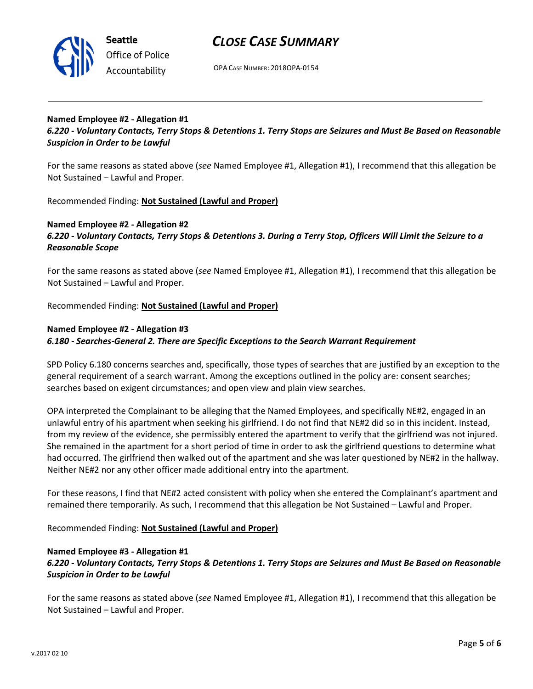

OPA CASE NUMBER: 2018OPA-0154

## Named Employee #2 - Allegation #1

6.220 - Voluntary Contacts, Terry Stops & Detentions 1. Terry Stops are Seizures and Must Be Based on Reasonable Suspicion in Order to be Lawful

For the same reasons as stated above (see Named Employee #1, Allegation #1), I recommend that this allegation be Not Sustained – Lawful and Proper.

Recommended Finding: Not Sustained (Lawful and Proper)

### Named Employee #2 - Allegation #2

## 6.220 - Voluntary Contacts, Terry Stops & Detentions 3. During a Terry Stop, Officers Will Limit the Seizure to a Reasonable Scope

For the same reasons as stated above (see Named Employee #1, Allegation #1), I recommend that this allegation be Not Sustained – Lawful and Proper.

Recommended Finding: Not Sustained (Lawful and Proper)

### Named Employee #2 - Allegation #3

#### 6.180 - Searches-General 2. There are Specific Exceptions to the Search Warrant Requirement

SPD Policy 6.180 concerns searches and, specifically, those types of searches that are justified by an exception to the general requirement of a search warrant. Among the exceptions outlined in the policy are: consent searches; searches based on exigent circumstances; and open view and plain view searches.

OPA interpreted the Complainant to be alleging that the Named Employees, and specifically NE#2, engaged in an unlawful entry of his apartment when seeking his girlfriend. I do not find that NE#2 did so in this incident. Instead, from my review of the evidence, she permissibly entered the apartment to verify that the girlfriend was not injured. She remained in the apartment for a short period of time in order to ask the girlfriend questions to determine what had occurred. The girlfriend then walked out of the apartment and she was later questioned by NE#2 in the hallway. Neither NE#2 nor any other officer made additional entry into the apartment.

For these reasons, I find that NE#2 acted consistent with policy when she entered the Complainant's apartment and remained there temporarily. As such, I recommend that this allegation be Not Sustained – Lawful and Proper.

Recommended Finding: Not Sustained (Lawful and Proper)

#### Named Employee #3 - Allegation #1

## 6.220 - Voluntary Contacts, Terry Stops & Detentions 1. Terry Stops are Seizures and Must Be Based on Reasonable Suspicion in Order to be Lawful

For the same reasons as stated above (see Named Employee #1, Allegation #1), I recommend that this allegation be Not Sustained – Lawful and Proper.